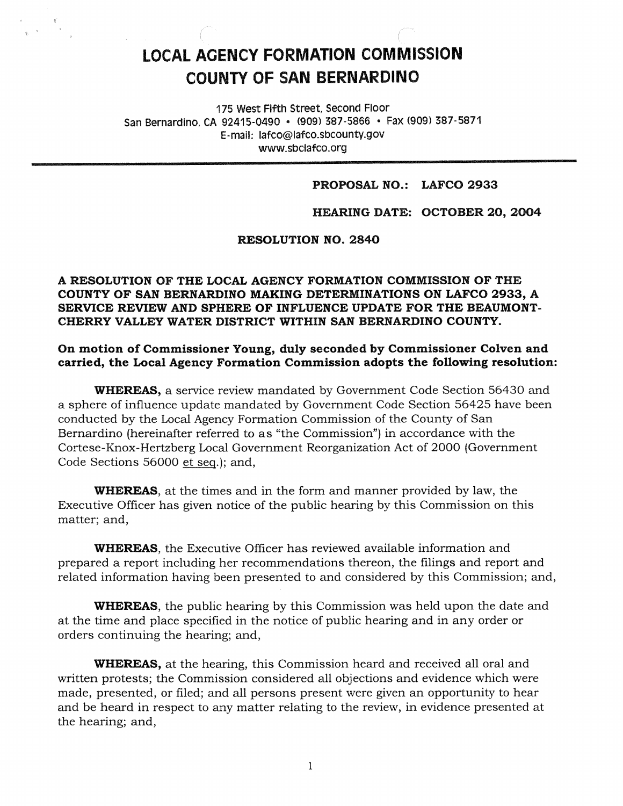# **LOCAL AOENCY FORMATION COMMISSION COUNTY OF SAN BERNARDINO**

175 west Fifth Street, second Floor San Bernardino, CA 92415-0490 • (909) 387-5866 • Fax (909) 387-5871 E-mail: lafco@lafco.sbcounty.gov www.sbclafco.org

#### **PROPOSAL NO.: LAFCO 2933**

**HEARING DATE: OCTOBER 20, 2004** 

#### **RESOLUTION NO. 2840**

### **A RESOLUTION OF THE LOCAL AGENCY FORMATION COMMISSION OF THE COUNTY OF SAN BERNARDINO MAKING DETERMINATIONS ON LAFCO 2933, A SERVICE REVIEW AND SPHERE OF INFLUENCE UPDATE FOR THE BEAUMONT-CHERRY VALLEY WATER DISTRICT WITHIN SAN BERNARDINO COUNTY.**

**On motion of Commissioner Young, duly seconded by Commissioner Colven and carried, the Local Agency Formation Commission adopts the following resolution:** 

**WHEREAS,** a service review mandated by Government Code Section 56430 and a sphere of influence update mandated by Government Code Section 56425 have been conducted by the Local Agency Formation Commission of the County of San Bernardino (hereinafter referred to as "the Commission") in accordance with the Cortese-Knox-Hertzberg Local Government Reorganization Act of 2000 (Government Code Sections 56000 et seq.); and,

**WHEREAS,** at the times and in the form and manner provided by law, the Executive Officer has given notice of the public hearing by this Commission on this matter; and,

**WHEREAS,** the Executive Officer has reviewed available information and prepared a report including her recommendations thereon, the filings and report and related information having been presented to and considered by this Commission; and,

**WHEREAS,** the public hearing by this Commission was held upon the date and at the time and place specified in the notice of public hearing and in any order or orders continuing the hearing; and,

**WHEREAS,** at the hearing, this Commission heard and received all oral and written protests; the Commission considered all objections and evidence which were made, presented, or filed; and all persons present were given an opportunity to hear and be heard in respect to any matter relating to the review, in evidence presented at the hearing; and,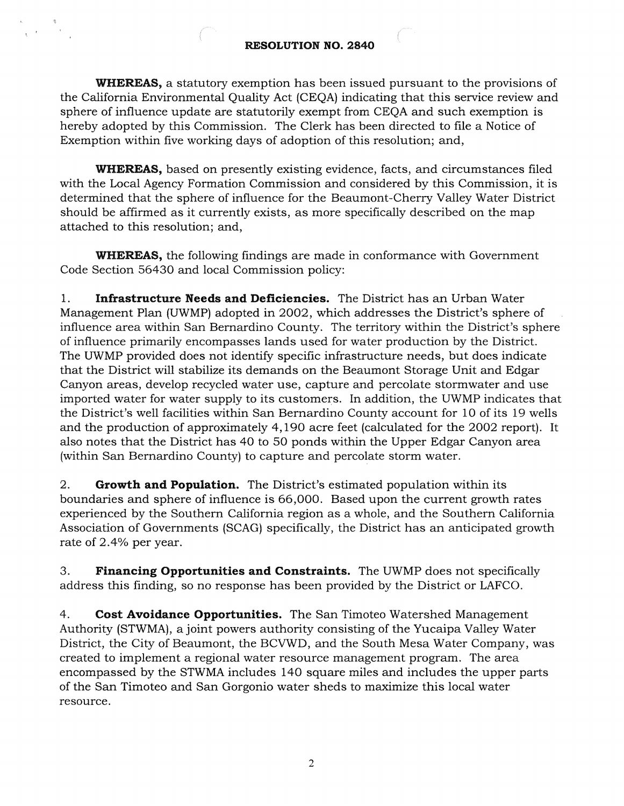### **RESOLUTION NO. 2840**

**WHEREAS,** a statutory exemption has been issued pursuant to the provisions of the California Environmental Quality Act (CEQA) indicating that this service review and sphere of influence update are statutorily exempt from CEQA and such exemption is hereby adopted by this Commission. The Clerk has been directed to file a Notice of Exemption within five working days of adoption of this resolution; and,

**WHEREAS,** based on presently existing evidence, facts, and circumstances filed with the Local Agency Formation Commission and considered by this Commission, it is determined that the sphere of influence for the Beaumont-Cherry Valley Water District should be affirmed as it currently exists, as more specifically described on the map attached to this resolution; and,

**WHEREAS,** the following findings are made in conformance with Government Code Section 56430 and local Commission policy:

1. **Infrastructure Needs and Deficiencies.** The District has an Urban Water Management Plan (UWMP) adopted in 2002, which addresses the District's sphere of influence area within San Bernardino County. The *territory* within the District's sphere of influence primarily encompasses lands used for water production by the District. The UWMP provided does not identify specific infrastructure needs, but does indicate that the District will stabilize its demands on the Beaumont Storage Unit and Edgar Canyon areas, develop recycled water use, capture and percolate stormwater and use imported water for water supply to its customers. In addition, the UWMP indicates that the District's well facilities within San Bernardino County account for 10 of its 19 wells and the production of approximately 4,190 acre feet (calculated for the 2002 report). It also notes that the District has 40 to 50 ponds within the Upper Edgar Canyon area (within San Bernardino County) to capture and percolate storm water.

2. **Growth and Population.** The District's estimated population within its boundaries and sphere of influence is 66,000. Based upon the current growth rates experienced by the Southern California region as a whole, and the Southern California Association of Governments (SCAG) specifically, the District has an anticipated growth rate of 2.4% per year.

3. **Financing Opportunities and Constraints.** The UWMP does not specifically address this finding, so no response has been provided by the District or LAFCO.

4. **Cost Avoidance Opportunities.** The San Timoteo Watershed Management Authority (STWMA), a joint powers authority consisting of the Yucaipa Valley Water District, the City of Beaumont, the BCVWD, and the South Mesa Water Company, was created to implement a regional water resource management program. The area encompassed by the STWMA includes 140 square miles and includes the upper parts of the San Timoteo and San Gorgonio water sheds to maximize this local water resource.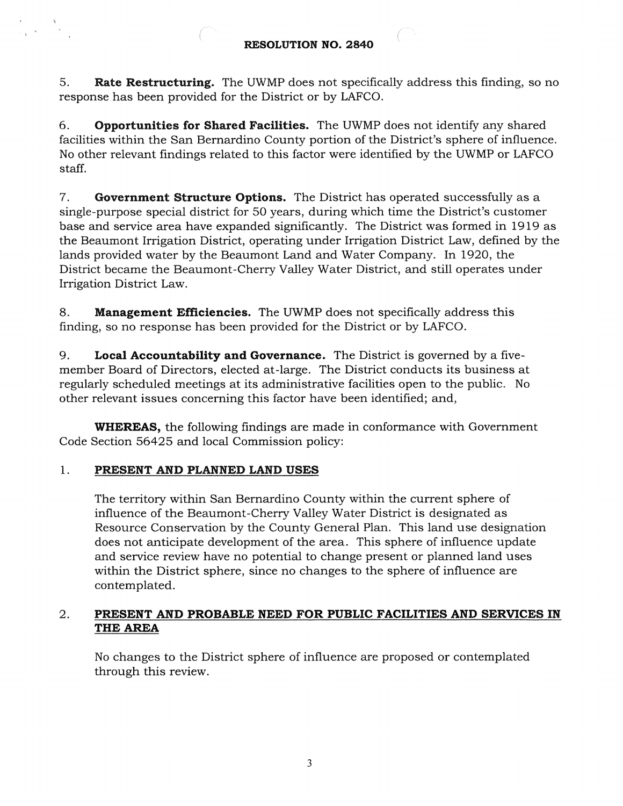5. **Rate Restructuring.** The UWMP does not specifically address this finding, so no response has been provided for the District or by LAFCO.

6. **Opportunities for Shared Facilities.** The UWMP does not identify any shared facilities within the San Bernardino County portion of the District's sphere of influence. No other relevant findings related to this factor were identified by the UWMP or LAFCO staff.

7. **Government Structure Options.** The District has operated successfully as a single-purpose special district for 50 years, during which time the District's customer base and service area have expanded significantly. The District was formed in 1919 as the Beaumont Irrigation District, operating under Irrigation District Law, defined by the lands provided water by the Beaumont Land and Water Company. In 1920, the District became the Beaumont-Cherry Valley Water District, and still operates under Irrigation District Law.

8. **Management Efficiencies.** The UWMP does not specifically address this finding, so no response has been provided for the District or by LAFCO.

9. **Local Accountability and Governance.** The District is governed by a fivemember Board of Directors, elected at-large. The District conducts its business at regularly scheduled meetings at its administrative facilities open to the public. No other relevant issues concerning this factor have been identified; and,

**WHEREAS,** the following findings are made in conformance with Government Code Section 56425 and local Commission policy:

## 1. **PRESENT AND PLANNED LAND USES**

The territory within San Bernardino County within the current sphere of influence of the Beaumont-Cherry Valley Water District is designated as Resource Conservation by the County General Plan. This land use designation does not anticipate development of the area. This sphere of influence update and service review have no potential to change present or planned land uses within the District sphere, since no changes to the sphere of influence are contemplated.

### 2. **PRESENT AND PROBABLE NEED FOR PUBLIC FACILITIES AND SERVICES IN THE AREA**

No changes to the District sphere of influence are proposed or contemplated through this review.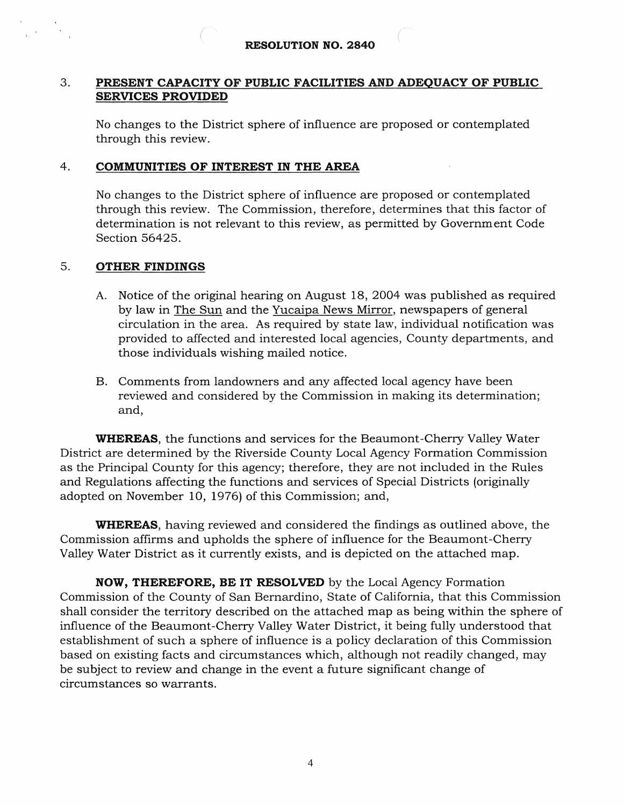#### 3. **PRESENT CAPACITY OF PUBLIC FACILITIES AND ADEQUACY OF PUBLIC SERVICES PROVIDED**

No changes to the District sphere of influence are proposed or contemplated through this review.

### 4. **COMMUNITIES OF INTEREST IN THE AREA**

No changes to the District sphere of influence are proposed or contemplated through this review. The Commission, therefore, determines that this factor of determination is not relevant to this review, as permitted by Government Code Section 56425.

### 5. **OTHER FINDINGS**

- A. Notice of the original hearing on August 18, 2004 was published as required by law in The Sun and the Yucaipa News Mirror, newspapers of general circulation in the area. As required by state law, individual notification was provided to affected and interested local agencies, County departments, and those individuals wishing mailed notice.
- B. Comments from landowners and any affected local agency have been reviewed and considered by the Commission in making its determination; and,

**WHEREAS,** the functions and services for the Beaumont-Cherry Valley Water District are determined by the Riverside County Local Agency Formation Commission as the Principal County for this agency; therefore, they are not included in the Rules and Regulations affecting the functions and services of Special Districts (originally adopted on November 10, 1976) of this Commission; and,

**WHEREAS,** having reviewed and considered the findings as outlined above, the Commission affirms and upholds the sphere of influence for the Beaumont-Cherry Valley Water District as it currently exists, and is depicted on the attached map.

**NOW, THEREFORE, BE IT RESOLVED** by the Local Agency Formation Commission of the County of San Bernardino, State of California, that this Commission shall consider the territory described on the attached map as being within the sphere of influence of the Beaumont-Cherry Valley Water District, it being fully understood that establishment of such a sphere of influence is a policy declaration of this Commission based on existing facts and circumstances which, although not readily changed, may be subject to review and change in the event a future significant change of circumstances so warrants.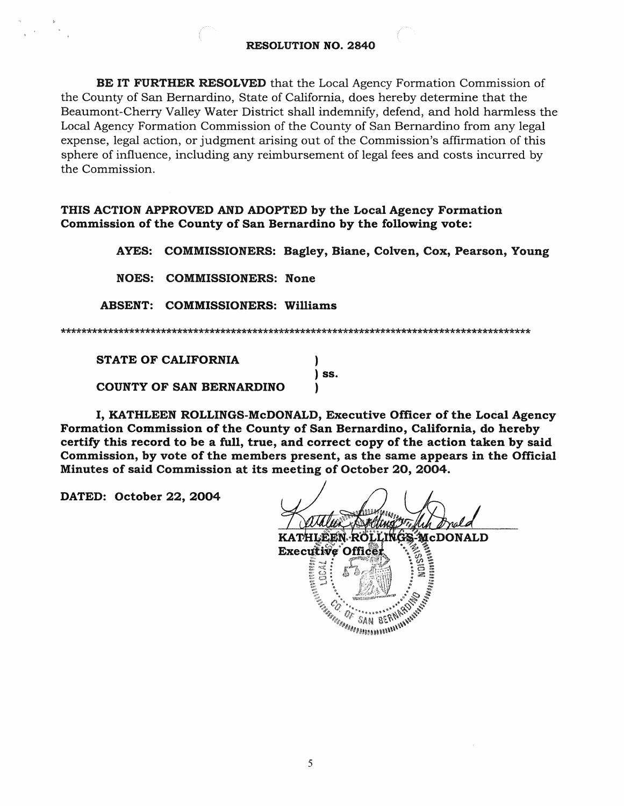**BE IT FURTHER RESOLVED** that the Local Agency Formation Commission of the County of San Bernardino, State of California, does hereby determine that the Beaumont-Cherry Valley Water District shall indemnify, defend, and hold harmless the Local Agency Formation Commission of the County of San Bernardino from any legal expense, legal action, or judgment arising out of the Commission's affirmation of this sphere of influence, including any reimbursement of legal fees and costs incurred by the Commission.

**THIS ACTION APPROVED AND ADOPTED by the Local Agency Formation Commission of the County of San Bernardino by the following vote:** 

**AYES: COMMISSIONERS: Bagley, Blane, Colven, Cox, Pearson, Young** 

**NOES: COMMISSIONERS: None** 

**ABSENT: COMMISSIONERS: Williams** 

STATE OF CALIFORNIA ) ) ss. COUNTY OF SAN BERNARDINO )

I, KATHLEEN ROLLINGS-McDONALD, Executive Officer of the Local Agency Formation Commission of the County of San Bernardino, California, do hereby certify this record to be a full, true, and correct copy of the action taken by said Commission, by vote of the members present, as the same appears in the Official Minutes of said Commission at its meeting of October 20, 2004.

DATED: October 22, 2004

McDONALD KATHLEEN RÖLLINGS **Hurton ROLLINGS MCD Executive Office**